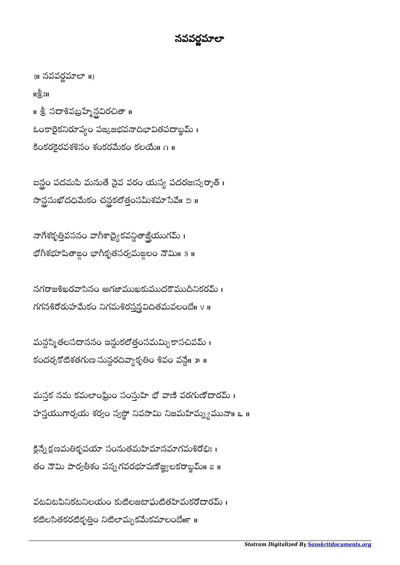## నవర్ణమాలా ֚֚֚֡<br>֧֚֚֝

 $\{||$  నవవర్ణమాలా $||$ } แซ็มเ ॥ శ్రీ సదాశివబ్రహ్మేన్దవిరచితా ॥ ఓంకారైకనిరూప్యం పఙ్కజభవనాదిభావితపదాబ్జమ్ । కింకరకైరవశశినం శంకరమేకం కలయే n ။

ఐన్లం పదమపి మనుతే నైవ వరం యస్య పదరజఃస్పర్శాత్ । నాన్ధసుఖోదధిమేకం చన్ధకలోత్తంసమీశమాసేవే॥ ౨॥

నాగేశకృత్తివసనం వాగీశాధ్యైకవన్దితాజ్ఘియుగమ్ <mark>।</mark> భోగీశభూషితాఙ్ం భాగీకృతసర్వమఙలం నౌమి॥ ३ ॥

నగరాజశిఖరవాసినం అగజాముఖకుముదకౌముదీనికరమ్ । గగనశిరోరుహమేకం నిగమశిరస్త్రవైదితమవలంబే । ४ ॥

మన్లసి్మతలసదాననం ఇన్దుకలోత్తంసమమ్బికాసచివమ్ । కందర్బకోటిశతగుణ-సున్ధరదివ్యాకృతిం శివం వన్దే॥ » ॥

మస్తక నమ కమలాంఘ్రిం సంస్తుహి భో వాణి వరగుణోదారమ్ । హస్తయుగార్చయ శర్యం స్వస్థో నివసామి నిజమహిమ్మ్యమునా॥ ౬ ॥

క్లిన్నేక్షణమతికృపయా సంనుతమహిమానమాగమశిరోభిః । తం నౌమి పార్వతీశం పన్నగవరభూషణోజ్ఘలకరాబ్జమ్॥ ౭ ॥

వటవిటనినికటనిలయం కుటిలజటాఘటితహిమకరోదారమ్ । కటిలసితకరటికృత్తిం నిటిలామృకమేకమాలంబే ။ ။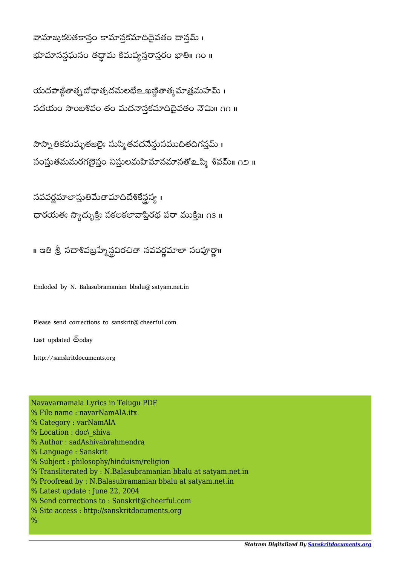వామాఙుకలితకాన్హం కామాన్తకమాదిదైవతం దాన్హమ్ । భూమానన్లఘనం తద్దామ కిమప్యన్తరాన్తరం భాతి॥ ౧౦ ॥

యదపాఙితాత్చబోధాత్భదమలభేల ఖణ్ణితాత్మ మాత్రమహమ్ । సదయం సాంబశివం తం మదనానకమాదిదైవతం నౌమి ∩∩ ॥

సౌస్నా తికమమృతజలైః సుస్మి తవదనేన్గుసముదితదిగన్తమ్ । సంస్థుతమమరగణైస్తం నిస్తులమహిమానమానతో உస్మి శివమ్॥ ౧౨ ॥

నవవర్ణమాలాస్తుతిమేతామాదిదేశికేన్లప్వ ధారయతః స్యాద్భుక్తిః సకలకలావాప్తిరథ పరా ముక్తిః॥ ౧౩ ॥

॥ ఇతి శ్రీ సదాశివబ్రహ్మేన్లవిరచితా నవవర్ణమాలా సంపూర్ణా॥

Endoded by N. Balasubramanian bbalu@satyam.net.in

Please send corrections to sanskrit@cheerful.com

Last updated  $\bar{\mathfrak{G}}$ oday

http://sanskritdocuments.org

Navavarnamala Lyrics in Telugu PDF % File name : navarNamAlA.itx % Category : varNamAlA % Location : doc\\_shiva % Author : sadAshivabrahmendra % Language : Sanskrit % Subject : philosophy/hinduism/religion % Transliterated by : N.Balasubramanian bbalu at satyam.net.in % Proofread by : N.Balasubramanian bbalu at satyam.net.in % Latest update : June 22, 2004 % Send corrections to : Sanskrit@cheerful.com % Site access : http://sanskritdocuments.org %